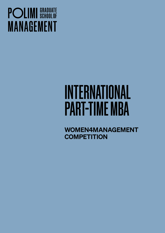## **POLIMI** SCHOOLOF **MANAGEMENT**

# INTERNATIONAL PART-TIME MBA

WOMEN4MANAGEMENT **COMPETITION**